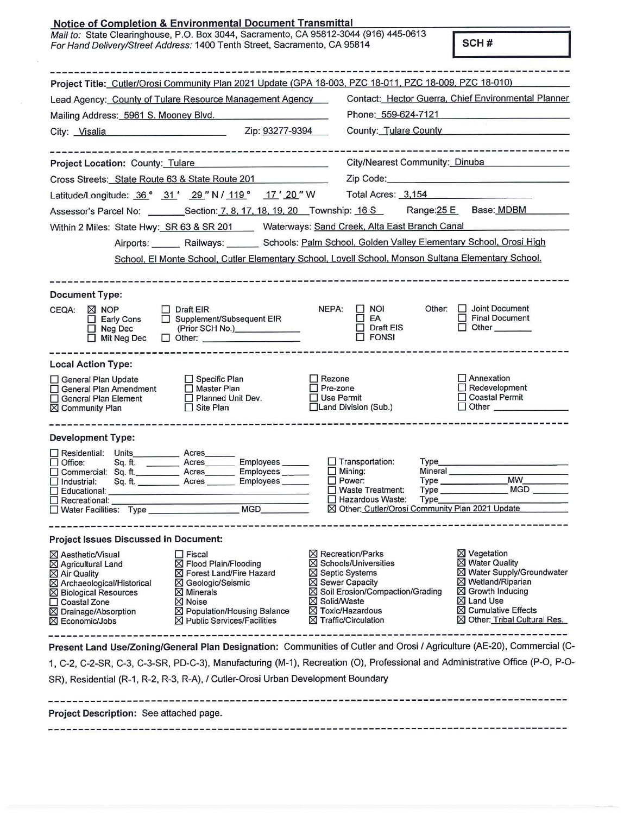| <b>Notice of Completion &amp; Environmental Document Transmittal</b><br>Mail to: State Clearinghouse, P.O. Box 3044, Sacramento, CA 95812-3044 (916) 445-0613<br>For Hand Delivery/Street Address: 1400 Tenth Street, Sacramento, CA 95814                                                                                                                                                   |                                                                                                                  |                                                                                                                                                                                                                                            |                                                                                                   |                                 | SCH#                                                                                                                                                                                                       |  |
|----------------------------------------------------------------------------------------------------------------------------------------------------------------------------------------------------------------------------------------------------------------------------------------------------------------------------------------------------------------------------------------------|------------------------------------------------------------------------------------------------------------------|--------------------------------------------------------------------------------------------------------------------------------------------------------------------------------------------------------------------------------------------|---------------------------------------------------------------------------------------------------|---------------------------------|------------------------------------------------------------------------------------------------------------------------------------------------------------------------------------------------------------|--|
|                                                                                                                                                                                                                                                                                                                                                                                              |                                                                                                                  |                                                                                                                                                                                                                                            |                                                                                                   |                                 |                                                                                                                                                                                                            |  |
| Project Title: Cutler/Orosi Community Plan 2021 Update (GPA 18-003, PZC 18-011, PZC 18-009, PZC 18-010)                                                                                                                                                                                                                                                                                      |                                                                                                                  |                                                                                                                                                                                                                                            |                                                                                                   |                                 |                                                                                                                                                                                                            |  |
| Lead Agency: County of Tulare Resource Management Agency                                                                                                                                                                                                                                                                                                                                     |                                                                                                                  |                                                                                                                                                                                                                                            | Contact: Hector Guerra, Chief Environmental Planner                                               |                                 |                                                                                                                                                                                                            |  |
| Mailing Address: 5961 S. Mooney Blvd.                                                                                                                                                                                                                                                                                                                                                        |                                                                                                                  |                                                                                                                                                                                                                                            | Phone: 559-624-7121                                                                               |                                 |                                                                                                                                                                                                            |  |
| City: Visalia Zip: 93277-9394                                                                                                                                                                                                                                                                                                                                                                |                                                                                                                  |                                                                                                                                                                                                                                            |                                                                                                   |                                 | County: Tulare County                                                                                                                                                                                      |  |
| Project Location: County: Tulare                                                                                                                                                                                                                                                                                                                                                             | ------------------------------                                                                                   |                                                                                                                                                                                                                                            |                                                                                                   | City/Nearest Community: Dinuba  |                                                                                                                                                                                                            |  |
| Cross Streets: State Route 63 & State Route 201                                                                                                                                                                                                                                                                                                                                              |                                                                                                                  |                                                                                                                                                                                                                                            |                                                                                                   |                                 |                                                                                                                                                                                                            |  |
| Latitude/Longitude: 36° 31' 29" N / 119° 17' 20" W                                                                                                                                                                                                                                                                                                                                           |                                                                                                                  |                                                                                                                                                                                                                                            | Total Acres: 3,154                                                                                |                                 |                                                                                                                                                                                                            |  |
| Assessor's Parcel No: ___________Section: 7, 8, 17, 18, 19, 20 Township: 16 S                                                                                                                                                                                                                                                                                                                |                                                                                                                  |                                                                                                                                                                                                                                            |                                                                                                   |                                 | Range: 25 E Base: MDBM                                                                                                                                                                                     |  |
| Within 2 Miles: State Hwy: SR 63 & SR 201 Waterways: Sand Creek, Alta East Branch Canal                                                                                                                                                                                                                                                                                                      |                                                                                                                  |                                                                                                                                                                                                                                            |                                                                                                   |                                 |                                                                                                                                                                                                            |  |
|                                                                                                                                                                                                                                                                                                                                                                                              | Airports: Railways: Schools: Palm School, Golden Valley Elementary School, Orosi High                            |                                                                                                                                                                                                                                            |                                                                                                   |                                 |                                                                                                                                                                                                            |  |
|                                                                                                                                                                                                                                                                                                                                                                                              | School, El Monte School, Cutler Elementary School, Lovell School, Monson Sultana Elementary School.              |                                                                                                                                                                                                                                            |                                                                                                   |                                 |                                                                                                                                                                                                            |  |
|                                                                                                                                                                                                                                                                                                                                                                                              |                                                                                                                  |                                                                                                                                                                                                                                            |                                                                                                   |                                 |                                                                                                                                                                                                            |  |
|                                                                                                                                                                                                                                                                                                                                                                                              |                                                                                                                  |                                                                                                                                                                                                                                            |                                                                                                   |                                 |                                                                                                                                                                                                            |  |
| <b>Document Type:</b><br>$\boxtimes$ NOP<br>CEQA:                                                                                                                                                                                                                                                                                                                                            | $\Box$ Draft EIR                                                                                                 | NEPA:                                                                                                                                                                                                                                      | <b>NOI</b><br><b>Control</b>                                                                      | Other:                          | $\Box$ Joint Document                                                                                                                                                                                      |  |
| $\Box$ Early Cons<br>$\Box$ Neg Dec<br>$\Box$ Mit Neg Dec                                                                                                                                                                                                                                                                                                                                    | □ Supplement/Subsequent EIR<br>(Prior SCH No.)______________<br>$\Box$ Other:                                    |                                                                                                                                                                                                                                            | EA<br>П<br><b>Draft EIS</b><br>П<br><b>FONSI</b>                                                  |                                 | Final Document<br>$\Box$ Other                                                                                                                                                                             |  |
| <b>Local Action Type:</b>                                                                                                                                                                                                                                                                                                                                                                    |                                                                                                                  |                                                                                                                                                                                                                                            |                                                                                                   |                                 |                                                                                                                                                                                                            |  |
| General Plan Update<br>□ General Plan Amendment<br>□ General Plan Element<br>⊠ Community Plan                                                                                                                                                                                                                                                                                                | $\Box$ Specific Plan<br>□ Master Plan<br>Planned Unit Dev.<br>Site Plan                                          | $\Box$ Rezone<br>$\Box$ Pre-zone<br><b>□ Use Permit</b>                                                                                                                                                                                    | □Land Division (Sub.)                                                                             |                                 | $\Box$ Annexation<br>$\Box$ Redevelopment<br>□ Coastal Permit                                                                                                                                              |  |
| <b>Development Type:</b>                                                                                                                                                                                                                                                                                                                                                                     |                                                                                                                  |                                                                                                                                                                                                                                            |                                                                                                   |                                 |                                                                                                                                                                                                            |  |
| $\Box$ Residential: Units<br>Sq. ft.<br>Office:<br>□ Commercial: Sq. ft.<br>$\Box$ Industrial:<br>□<br>Educational:<br>$\Box$ Recreational:                                                                                                                                                                                                                                                  | Acres<br>Employees<br>Acres<br>Employees _____<br>Acres<br>Sq. ft. _____________ Acres ________ Employees ______ | ш                                                                                                                                                                                                                                          | $\Box$ Transportation:<br>Mining:<br>$\Box$ Power:<br>Waste Treatment:<br><b>Hazardous Waste:</b> | <b>Type</b><br>Mineral<br>Type_ | MW<br>$Type \_\_$<br>⊠ Other: Cutler/Orosi Community Plan 2021 Update                                                                                                                                      |  |
| <b>Project Issues Discussed in Document:</b>                                                                                                                                                                                                                                                                                                                                                 |                                                                                                                  |                                                                                                                                                                                                                                            |                                                                                                   |                                 |                                                                                                                                                                                                            |  |
| $\Box$ Fiscal<br>⊠ Aesthetic/Visual<br>⊠ Agricultural Land<br>⊠ Flood Plain/Flooding<br>⊠ Air Quality<br>⊠ Forest Land/Fire Hazard<br>⊠ Archaeological/Historical<br>⊠ Geologic/Seismic<br>⊠ Biological Resources<br>$\boxtimes$ Minerals<br>⊠ Noise<br>□ Coastal Zone<br>⊠ Drainage/Absorption<br>⊠ Population/Housing Balance<br>$\boxtimes$ Public Services/Facilities<br>⊠ Economic/Jobs |                                                                                                                  | $\boxtimes$ Recreation/Parks<br>$\boxtimes$ Schools/Universities<br>⊠ Septic Systems<br>$\boxtimes$ Sewer Capacity<br>⊠ Soil Erosion/Compaction/Grading<br>⊠ Solid/Waste<br>$\boxtimes$ Toxic/Hazardous<br>$\boxtimes$ Traffic/Circulation |                                                                                                   |                                 | ⊠ Vegetation<br><b>X</b> Water Quality<br>⊠ Water Supply/Groundwater<br>⊠ Wetland/Riparian<br>⊠ Growth Inducing<br>$\boxtimes$ Land Use<br>$\boxtimes$ Cumulative Effects<br>⊠ Other: Tribal Cultural Res. |  |
| Present Land Use/Zoning/General Plan Designation: Communities of Cutler and Orosi / Agriculture (AE-20), Commercial (C-                                                                                                                                                                                                                                                                      |                                                                                                                  |                                                                                                                                                                                                                                            |                                                                                                   |                                 |                                                                                                                                                                                                            |  |
| 1, C-2, C-2-SR, C-3, C-3-SR, PD-C-3), Manufacturing (M-1), Recreation (O), Professional and Administrative Office (P-O, P-O-                                                                                                                                                                                                                                                                 |                                                                                                                  |                                                                                                                                                                                                                                            |                                                                                                   |                                 |                                                                                                                                                                                                            |  |
| SR), Residential (R-1, R-2, R-3, R-A), / Cutler-Orosi Urban Development Boundary                                                                                                                                                                                                                                                                                                             |                                                                                                                  |                                                                                                                                                                                                                                            |                                                                                                   |                                 |                                                                                                                                                                                                            |  |
| Project Description: See attached page.                                                                                                                                                                                                                                                                                                                                                      |                                                                                                                  |                                                                                                                                                                                                                                            |                                                                                                   |                                 |                                                                                                                                                                                                            |  |

 $\sim 10$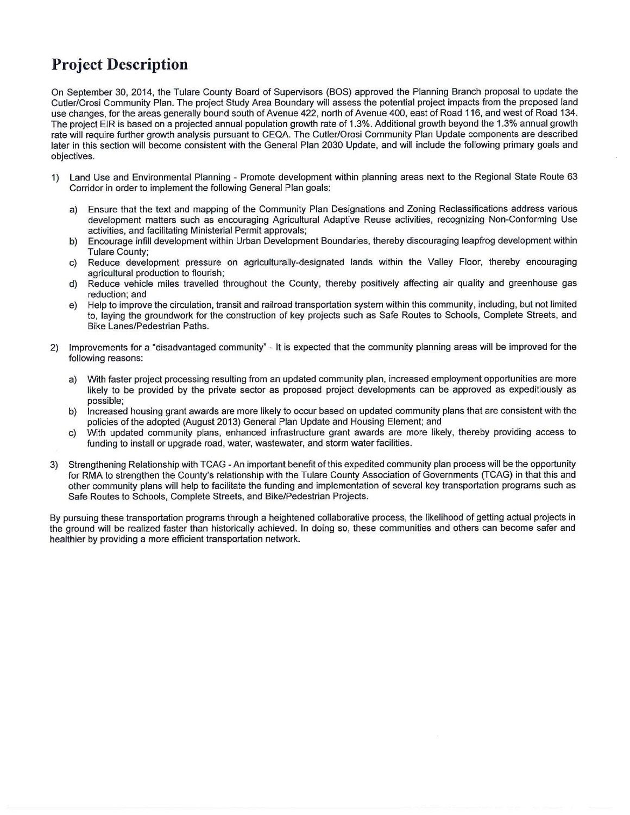## **Project Description**

On September 30, 2014, the Tulare County Board of Supervisors (BOS) approved the Planning Branch proposal to update the Cutler/Orosi Community Plan. The project Study Area Boundary will assess the potential project impacts from the proposed land use changes, for the areas generally bound south of Avenue 422, north of Avenue 400, east of Road 116, and west of Road 134. The project EIR is based on a projected annual population growth rate of 1.3%. Additional growth beyond the 1.3% annual growth rate will require further growth analysis pursuant to CEQA. The Cutler/Orosi Community Plan Update components are described later in this section will become consistent with the General Plan 2030 Update, and will include the following primary goals and objectives.

- 1) Land Use and Environmental Planning Promote development within planning areas next to the Regional State Route 63 Corridor in order to implement the following General Plan goals:
	- a) Ensure that the text and mapping of the Community Plan Designations and Zoning Reclassifications address various development matters such as encouraging Agricultural Adaptive Reuse activities, recognizing Non-Conforming Use activities, and facilitating Ministerial Permit approvals;
	- b) Encourage infill development within Urban Development Boundaries, thereby discouraging leapfrog development within Tulare County;
	- c) Reduce development pressure on agriculturally-designated lands within the Valley Floor, thereby encouraging agricultural production to flourish;
	- d) Reduce vehicle miles travelled throughout the County, thereby positively affecting air quality and greenhouse gas reduction; and
	- e) Help to improve the circulation, transit and railroad transportation system within this community, including, but not limited to, laying the groundwork for the construction of key projects such as Safe Routes to Schools, Complete Streets, and Bike Lanes/Pedestrian Paths.
- 2) Improvements for a "disadvantaged community" It is expected that the community planning areas will be improved for the following reasons:
	- a) With faster project processing resulting from an updated community plan, increased employment opportunities are more likely to be provided by the private sector as proposed project developments can be approved as expeditiously as possible;
	- b) Increased housing grant awards are more likely to occur based on updated community plans that are consistent with the policies of the adopted (August 2013) General Plan Update and Housing Element; and
	- c) With updated community plans, enhanced infrastructure grant awards are more likely, thereby providing access to funding to install or upgrade road, water, wastewater, and storm water facilities.
- 3) Strengthening Relationship with TCAG -An important benefit of this expedited community plan process will be the opportunity for RMA to strengthen the County's relationship with the Tulare County Association of Governments (TCAG) in that this and other community plans will help to facilitate the funding and implementation of several key transportation programs such as Safe Routes to Schools, Complete Streets, and Bike/Pedestrian Projects.

By pursuing these transportation programs through a heightened collaborative process, the likelihood of getting actual projects in the ground will be realized faster than historically achieved. In doing so, these communities and others can become safer and healthier by providing a more efficient transportation network.